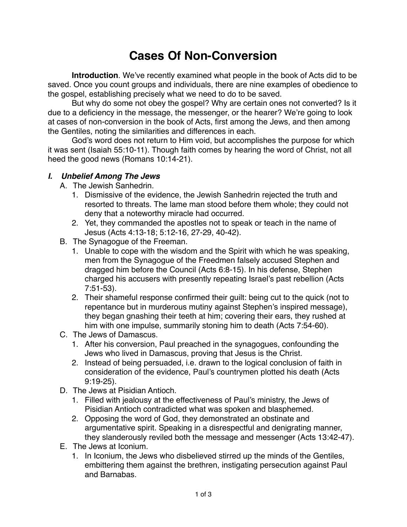## **Cases Of Non-Conversion**

**Introduction**. We've recently examined what people in the book of Acts did to be saved. Once you count groups and individuals, there are nine examples of obedience to the gospel, establishing precisely what we need to do to be saved.

But why do some not obey the gospel? Why are certain ones not converted? Is it due to a deficiency in the message, the messenger, or the hearer? We're going to look at cases of non-conversion in the book of Acts, first among the Jews, and then among the Gentiles, noting the similarities and differences in each.

God's word does not return to Him void, but accomplishes the purpose for which it was sent (Isaiah 55:10-11). Though faith comes by hearing the word of Christ, not all heed the good news (Romans 10:14-21).

## **I. Unbelief Among The Jews**

A. The Jewish Sanhedrin.

- 1. Dismissive of the evidence, the Jewish Sanhedrin rejected the truth and resorted to threats. The lame man stood before them whole; they could not deny that a noteworthy miracle had occurred.
- 2. Yet, they commanded the apostles not to speak or teach in the name of Jesus (Acts 4:13-18; 5:12-16, 27-29, 40-42).
- B. The Synagogue of the Freeman.
	- 1. Unable to cope with the wisdom and the Spirit with which he was speaking, men from the Synagogue of the Freedmen falsely accused Stephen and dragged him before the Council (Acts 6:8-15). In his defense, Stephen charged his accusers with presently repeating Israel's past rebellion (Acts 7:51-53).
	- 2. Their shameful response confirmed their guilt: being cut to the quick (not to repentance but in murderous mutiny against Stephen's inspired message), they began gnashing their teeth at him; covering their ears, they rushed at him with one impulse, summarily stoning him to death (Acts 7:54-60).
- C. The Jews of Damascus.
	- 1. After his conversion, Paul preached in the synagogues, confounding the Jews who lived in Damascus, proving that Jesus is the Christ.
	- 2. Instead of being persuaded, i.e. drawn to the logical conclusion of faith in consideration of the evidence, Paul's countrymen plotted his death (Acts 9:19-25).
- D. The Jews at Pisidian Antioch.
	- 1. Filled with jealousy at the effectiveness of Paul's ministry, the Jews of Pisidian Antioch contradicted what was spoken and blasphemed.
	- 2. Opposing the word of God, they demonstrated an obstinate and argumentative spirit. Speaking in a disrespectful and denigrating manner, they slanderously reviled both the message and messenger (Acts 13:42-47).
- E. The Jews at Iconium.
	- 1. In Iconium, the Jews who disbelieved stirred up the minds of the Gentiles, embittering them against the brethren, instigating persecution against Paul and Barnabas.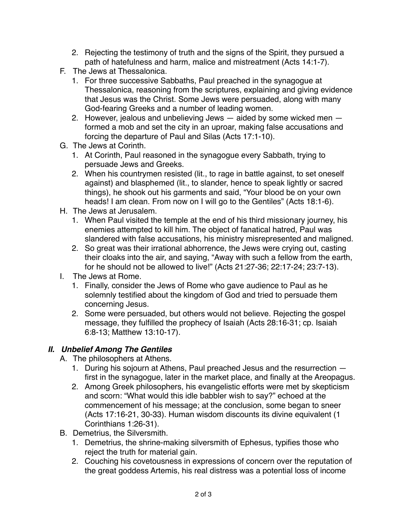- 2. Rejecting the testimony of truth and the signs of the Spirit, they pursued a path of hatefulness and harm, malice and mistreatment (Acts 14:1-7).
- F. The Jews at Thessalonica.
	- 1. For three successive Sabbaths, Paul preached in the synagogue at Thessalonica, reasoning from the scriptures, explaining and giving evidence that Jesus was the Christ. Some Jews were persuaded, along with many God-fearing Greeks and a number of leading women.
	- 2. However, jealous and unbelieving Jews aided by some wicked men formed a mob and set the city in an uproar, making false accusations and forcing the departure of Paul and Silas (Acts 17:1-10).
- G. The Jews at Corinth.
	- 1. At Corinth, Paul reasoned in the synagogue every Sabbath, trying to persuade Jews and Greeks.
	- 2. When his countrymen resisted (lit., to rage in battle against, to set oneself against) and blasphemed (lit., to slander, hence to speak lightly or sacred things), he shook out his garments and said, "Your blood be on your own heads! I am clean. From now on I will go to the Gentiles" (Acts 18:1-6).
- H. The Jews at Jerusalem.
	- 1. When Paul visited the temple at the end of his third missionary journey, his enemies attempted to kill him. The object of fanatical hatred, Paul was slandered with false accusations, his ministry misrepresented and maligned.
	- 2. So great was their irrational abhorrence, the Jews were crying out, casting their cloaks into the air, and saying, "Away with such a fellow from the earth, for he should not be allowed to live!" (Acts 21:27-36; 22:17-24; 23:7-13).
- I. The Jews at Rome.
	- 1. Finally, consider the Jews of Rome who gave audience to Paul as he solemnly testified about the kingdom of God and tried to persuade them concerning Jesus.
	- 2. Some were persuaded, but others would not believe. Rejecting the gospel message, they fulfilled the prophecy of Isaiah (Acts 28:16-31; cp. Isaiah 6:8-13; Matthew 13:10-17).

## **II. Unbelief Among The Gentiles**

- A. The philosophers at Athens.
	- 1. During his sojourn at Athens, Paul preached Jesus and the resurrection first in the synagogue, later in the market place, and finally at the Areopagus.
	- 2. Among Greek philosophers, his evangelistic efforts were met by skepticism and scorn: "What would this idle babbler wish to say?" echoed at the commencement of his message; at the conclusion, some began to sneer (Acts 17:16-21, 30-33). Human wisdom discounts its divine equivalent (1 Corinthians 1:26-31).
- B. Demetrius, the Silversmith.
	- 1. Demetrius, the shrine-making silversmith of Ephesus, typifies those who reject the truth for material gain.
	- 2. Couching his covetousness in expressions of concern over the reputation of the great goddess Artemis, his real distress was a potential loss of income